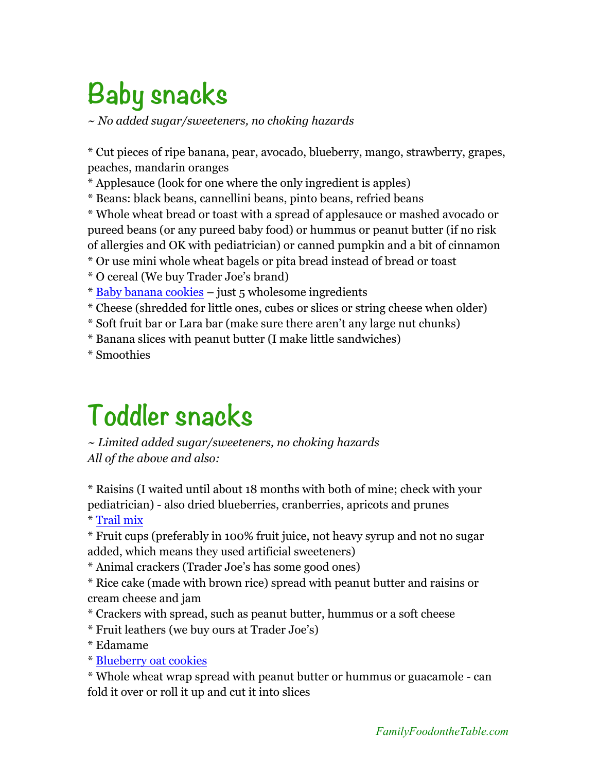## **Baby snacks**

*~ No added sugar/sweeteners, no choking hazards*

\* Cut pieces of ripe banana, pear, avocado, blueberry, mango, strawberry, grapes, peaches, mandarin oranges

\* Applesauce (look for one where the only ingredient is apples)

\* Beans: black beans, cannellini beans, pinto beans, refried beans

\* Whole wheat bread or toast with a spread of applesauce or mashed avocado or pureed beans (or any pureed baby food) or hummus or peanut butter (if no risk of allergies and OK with pediatrician) or canned pumpkin and a bit of cinnamon

\* Or use mini whole wheat bagels or pita bread instead of bread or toast

\* O cereal (We buy Trader Joe's brand)

- \* Baby banana cookies just 5 wholesome ingredients
- \* Cheese (shredded for little ones, cubes or slices or string cheese when older)
- \* Soft fruit bar or Lara bar (make sure there aren't any large nut chunks)
- \* Banana slices with peanut butter (I make little sandwiches)

\* Smoothies

## **Toddler snacks**

*~ Limited added sugar/sweeteners, no choking hazards All of the above and also:*

\* Raisins (I waited until about 18 months with both of mine; check with your pediatrician) - also dried blueberries, cranberries, apricots and prunes

\* Trail mix

\* Fruit cups (preferably in 100% fruit juice, not heavy syrup and not no sugar added, which means they used artificial sweeteners)

\* Animal crackers (Trader Joe's has some good ones)

\* Rice cake (made with brown rice) spread with peanut butter and raisins or cream cheese and jam

- \* Crackers with spread, such as peanut butter, hummus or a soft cheese
- \* Fruit leathers (we buy ours at Trader Joe's)
- \* Edamame

\* Blueberry oat cookies

\* Whole wheat wrap spread with peanut butter or hummus or guacamole - can fold it over or roll it up and cut it into slices